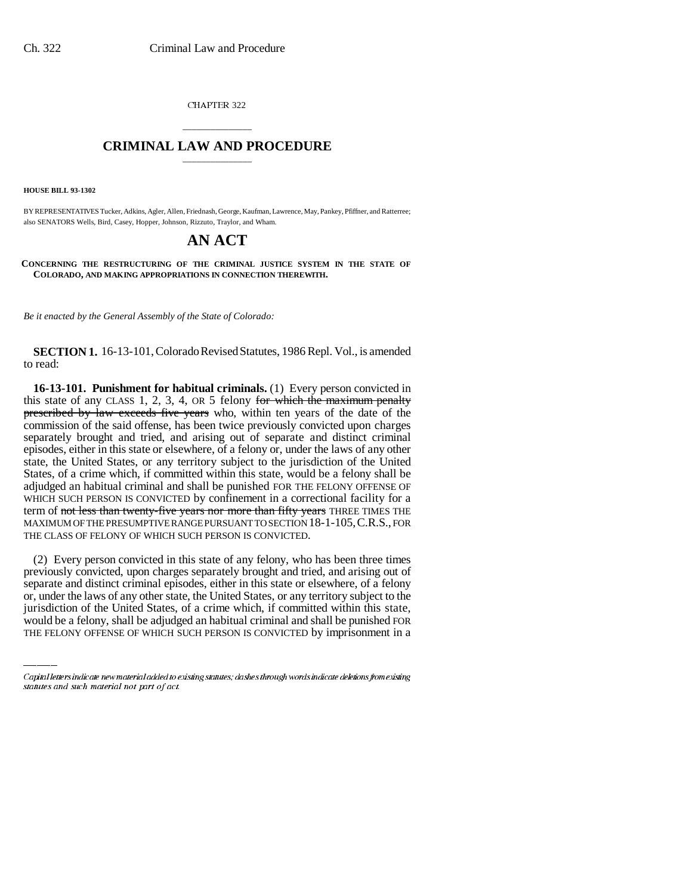CHAPTER 322

# \_\_\_\_\_\_\_\_\_\_\_\_\_\_\_ **CRIMINAL LAW AND PROCEDURE** \_\_\_\_\_\_\_\_\_\_\_\_\_\_\_

**HOUSE BILL 93-1302**

BY REPRESENTATIVES Tucker, Adkins, Agler, Allen, Friednash, George, Kaufman, Lawrence, May, Pankey, Pfiffner, and Ratterree; also SENATORS Wells, Bird, Casey, Hopper, Johnson, Rizzuto, Traylor, and Wham.

# **AN ACT**

**CONCERNING THE RESTRUCTURING OF THE CRIMINAL JUSTICE SYSTEM IN THE STATE OF COLORADO, AND MAKING APPROPRIATIONS IN CONNECTION THEREWITH.**

*Be it enacted by the General Assembly of the State of Colorado:*

**SECTION 1.** 16-13-101, Colorado Revised Statutes, 1986 Repl. Vol., is amended to read:

**16-13-101. Punishment for habitual criminals.** (1) Every person convicted in this state of any CLASS 1, 2, 3, 4, OR 5 felony for which the maximum penalty prescribed by law exceeds five years who, within ten years of the date of the commission of the said offense, has been twice previously convicted upon charges separately brought and tried, and arising out of separate and distinct criminal episodes, either in this state or elsewhere, of a felony or, under the laws of any other state, the United States, or any territory subject to the jurisdiction of the United States, of a crime which, if committed within this state, would be a felony shall be adjudged an habitual criminal and shall be punished FOR THE FELONY OFFENSE OF WHICH SUCH PERSON IS CONVICTED by confinement in a correctional facility for a term of not less than twenty-five years nor more than fifty years THREE TIMES THE MAXIMUM OF THE PRESUMPTIVE RANGE PURSUANT TO SECTION 18-1-105,C.R.S., FOR THE CLASS OF FELONY OF WHICH SUCH PERSON IS CONVICTED.

separate and distinct criminal episodes, either in this state or elsewhere, of a felony (2) Every person convicted in this state of any felony, who has been three times previously convicted, upon charges separately brought and tried, and arising out of or, under the laws of any other state, the United States, or any territory subject to the jurisdiction of the United States, of a crime which, if committed within this state, would be a felony, shall be adjudged an habitual criminal and shall be punished FOR THE FELONY OFFENSE OF WHICH SUCH PERSON IS CONVICTED by imprisonment in a

Capital letters indicate new material added to existing statutes; dashes through words indicate deletions from existing statutes and such material not part of act.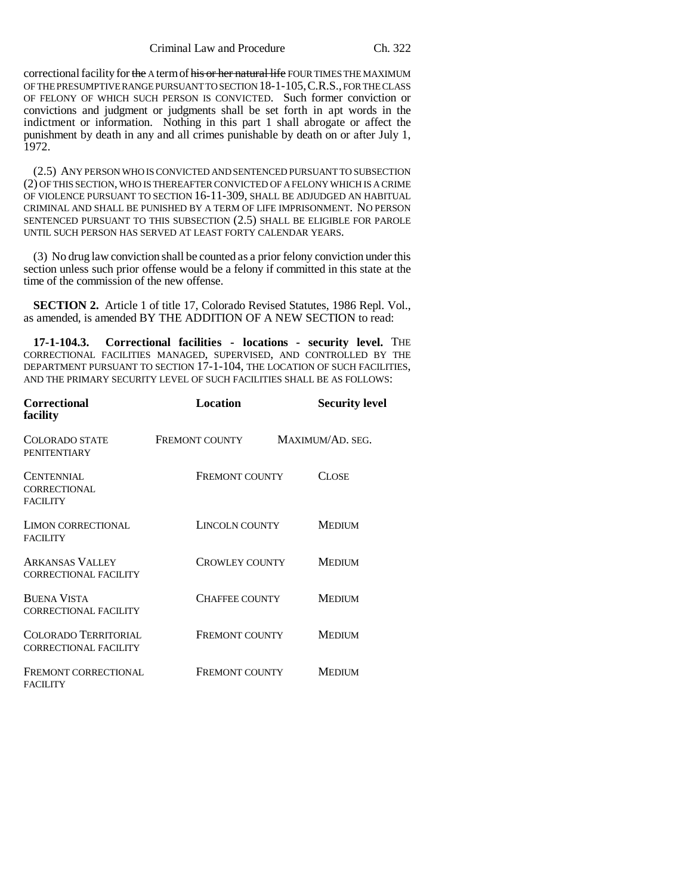Criminal Law and Procedure Ch. 322

correctional facility for the A term of his or her natural life FOUR TIMES THE MAXIMUM OF THE PRESUMPTIVE RANGE PURSUANT TO SECTION 18-1-105,C.R.S., FOR THE CLASS OF FELONY OF WHICH SUCH PERSON IS CONVICTED. Such former conviction or convictions and judgment or judgments shall be set forth in apt words in the indictment or information. Nothing in this part 1 shall abrogate or affect the punishment by death in any and all crimes punishable by death on or after July 1, 1972.

(2.5) ANY PERSON WHO IS CONVICTED AND SENTENCED PURSUANT TO SUBSECTION (2) OF THIS SECTION, WHO IS THEREAFTER CONVICTED OF A FELONY WHICH IS A CRIME OF VIOLENCE PURSUANT TO SECTION 16-11-309, SHALL BE ADJUDGED AN HABITUAL CRIMINAL AND SHALL BE PUNISHED BY A TERM OF LIFE IMPRISONMENT. NO PERSON SENTENCED PURSUANT TO THIS SUBSECTION (2.5) SHALL BE ELIGIBLE FOR PAROLE UNTIL SUCH PERSON HAS SERVED AT LEAST FORTY CALENDAR YEARS.

(3) No drug law conviction shall be counted as a prior felony conviction under this section unless such prior offense would be a felony if committed in this state at the time of the commission of the new offense.

**SECTION 2.** Article 1 of title 17, Colorado Revised Statutes, 1986 Repl. Vol., as amended, is amended BY THE ADDITION OF A NEW SECTION to read:

**17-1-104.3. Correctional facilities - locations - security level.** THE CORRECTIONAL FACILITIES MANAGED, SUPERVISED, AND CONTROLLED BY THE DEPARTMENT PURSUANT TO SECTION 17-1-104, THE LOCATION OF SUCH FACILITIES, AND THE PRIMARY SECURITY LEVEL OF SUCH FACILITIES SHALL BE AS FOLLOWS:

| <b>Correctional</b><br>facility                             | Location              | <b>Security level</b> |
|-------------------------------------------------------------|-----------------------|-----------------------|
| COLORADO STATE<br><b>PENITENTIARY</b>                       | <b>FREMONT COUNTY</b> | MAXIMUM/AD. SEG.      |
| CENTENNIAL<br>CORRECTIONAL<br><b>FACILITY</b>               | <b>FREMONT COUNTY</b> | CLOSE                 |
| <b>LIMON CORRECTIONAL</b><br><b>FACILITY</b>                | LINCOLN COUNTY        | <b>MEDIUM</b>         |
| <b>ARKANSAS VALLEY</b><br><b>CORRECTIONAL FACILITY</b>      | <b>CROWLEY COUNTY</b> | <b>MEDIUM</b>         |
| <b>BUENA VISTA</b><br><b>CORRECTIONAL FACILITY</b>          | <b>CHAFFEE COUNTY</b> | <b>MEDIUM</b>         |
| <b>COLORADO TERRITORIAL</b><br><b>CORRECTIONAL FACILITY</b> | <b>FREMONT COUNTY</b> | <b>MEDIUM</b>         |
| FREMONT CORRECTIONAL<br><b>FACILITY</b>                     | <b>FREMONT COUNTY</b> | MEDIUM                |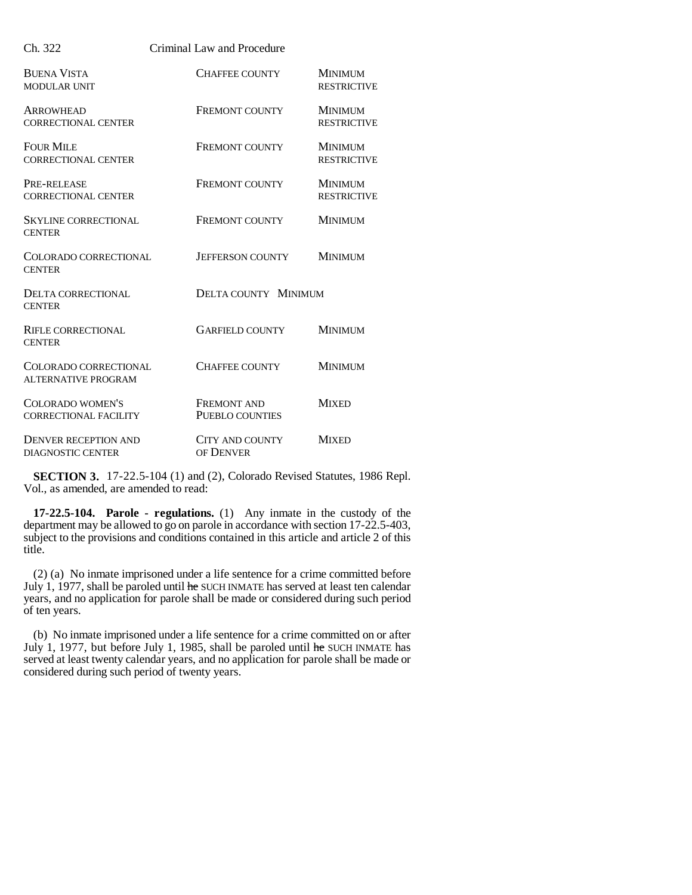| Ch. 322                                          | Criminal Law and Procedure            |                                      |
|--------------------------------------------------|---------------------------------------|--------------------------------------|
| <b>BUENA VISTA</b><br>MODULAR UNIT               | <b>CHAFFEE COUNTY</b>                 | <b>MINIMUM</b><br><b>RESTRICTIVE</b> |
| <b>ARROWHEAD</b><br><b>CORRECTIONAL CENTER</b>   | <b>FREMONT COUNTY</b>                 | <b>MINIMUM</b><br><b>RESTRICTIVE</b> |
| <b>FOUR MILE</b><br><b>CORRECTIONAL CENTER</b>   | <b>FREMONT COUNTY</b>                 | <b>MINIMUM</b><br><b>RESTRICTIVE</b> |
| PRE-RELEASE<br><b>CORRECTIONAL CENTER</b>        | FREMONT COUNTY                        | <b>MINIMUM</b><br><b>RESTRICTIVE</b> |
| <b>SKYLINE CORRECTIONAL</b><br><b>CENTER</b>     | <b>FREMONT COUNTY</b>                 | <b>MINIMUM</b>                       |
| COLORADO CORRECTIONAL<br><b>CENTER</b>           | <b>JEFFERSON COUNTY</b>               | <b>MINIMUM</b>                       |
| <b>DELTA CORRECTIONAL</b><br><b>CENTER</b>       | <b>DELTA COUNTY MINIMUM</b>           |                                      |
| <b>RIFLE CORRECTIONAL</b><br><b>CENTER</b>       | <b>GARFIELD COUNTY</b>                | <b>MINIMUM</b>                       |
| COLORADO CORRECTIONAL<br>ALTERNATIVE PROGRAM     | <b>CHAFFEE COUNTY</b>                 | <b>MINIMUM</b>                       |
| COLORADO WOMEN'S<br><b>CORRECTIONAL FACILITY</b> | <b>FREMONT AND</b><br>PUEBLO COUNTIES | <b>MIXED</b>                         |
| DENVER RECEPTION AND<br><b>DIAGNOSTIC CENTER</b> | <b>CITY AND COUNTY</b><br>OF DENVER   | <b>MIXED</b>                         |

**SECTION 3.** 17-22.5-104 (1) and (2), Colorado Revised Statutes, 1986 Repl. Vol., as amended, are amended to read:

**17-22.5-104. Parole - regulations.** (1) Any inmate in the custody of the department may be allowed to go on parole in accordance with section 17-22.5-403, subject to the provisions and conditions contained in this article and article 2 of this title.

(2) (a) No inmate imprisoned under a life sentence for a crime committed before July 1, 1977, shall be paroled until he SUCH INMATE has served at least ten calendar years, and no application for parole shall be made or considered during such period of ten years.

(b) No inmate imprisoned under a life sentence for a crime committed on or after July 1, 1977, but before July 1, 1985, shall be paroled until  $he$  SUCH INMATE has served at least twenty calendar years, and no application for parole shall be made or considered during such period of twenty years.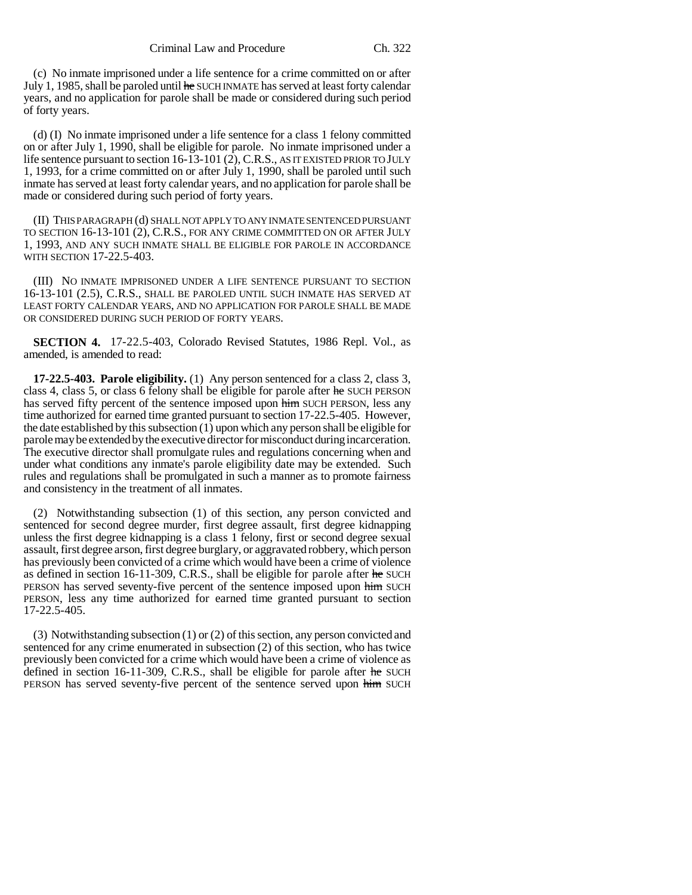(c) No inmate imprisoned under a life sentence for a crime committed on or after July 1, 1985, shall be paroled until he SUCH INMATE has served at least forty calendar years, and no application for parole shall be made or considered during such period of forty years.

(d) (I) No inmate imprisoned under a life sentence for a class 1 felony committed on or after July 1, 1990, shall be eligible for parole. No inmate imprisoned under a life sentence pursuant to section 16-13-101 (2), C.R.S., AS IT EXISTED PRIOR TO JULY 1, 1993, for a crime committed on or after July 1, 1990, shall be paroled until such inmate has served at least forty calendar years, and no application for parole shall be made or considered during such period of forty years.

(II) THIS PARAGRAPH (d) SHALL NOT APPLY TO ANY INMATE SENTENCED PURSUANT TO SECTION 16-13-101 (2), C.R.S., FOR ANY CRIME COMMITTED ON OR AFTER JULY 1, 1993, AND ANY SUCH INMATE SHALL BE ELIGIBLE FOR PAROLE IN ACCORDANCE WITH SECTION 17-22.5-403.

(III) NO INMATE IMPRISONED UNDER A LIFE SENTENCE PURSUANT TO SECTION 16-13-101 (2.5), C.R.S., SHALL BE PAROLED UNTIL SUCH INMATE HAS SERVED AT LEAST FORTY CALENDAR YEARS, AND NO APPLICATION FOR PAROLE SHALL BE MADE OR CONSIDERED DURING SUCH PERIOD OF FORTY YEARS.

**SECTION 4.** 17-22.5-403, Colorado Revised Statutes, 1986 Repl. Vol., as amended, is amended to read:

**17-22.5-403. Parole eligibility.** (1) Any person sentenced for a class 2, class 3, class 4, class 5, or class 6 felony shall be eligible for parole after he SUCH PERSON has served fifty percent of the sentence imposed upon him SUCH PERSON, less any time authorized for earned time granted pursuant to section 17-22.5-405. However, the date established by this subsection (1) upon which any person shall be eligible for parole may be extended by the executive director for misconduct during incarceration. The executive director shall promulgate rules and regulations concerning when and under what conditions any inmate's parole eligibility date may be extended. Such rules and regulations shall be promulgated in such a manner as to promote fairness and consistency in the treatment of all inmates.

(2) Notwithstanding subsection (1) of this section, any person convicted and sentenced for second degree murder, first degree assault, first degree kidnapping unless the first degree kidnapping is a class 1 felony, first or second degree sexual assault, first degree arson, first degree burglary, or aggravated robbery, which person has previously been convicted of a crime which would have been a crime of violence as defined in section 16-11-309, C.R.S., shall be eligible for parole after he SUCH PERSON has served seventy-five percent of the sentence imposed upon him SUCH PERSON, less any time authorized for earned time granted pursuant to section 17-22.5-405.

(3) Notwithstanding subsection (1) or (2) of this section, any person convicted and sentenced for any crime enumerated in subsection (2) of this section, who has twice previously been convicted for a crime which would have been a crime of violence as defined in section 16-11-309, C.R.S., shall be eligible for parole after he SUCH PERSON has served seventy-five percent of the sentence served upon him SUCH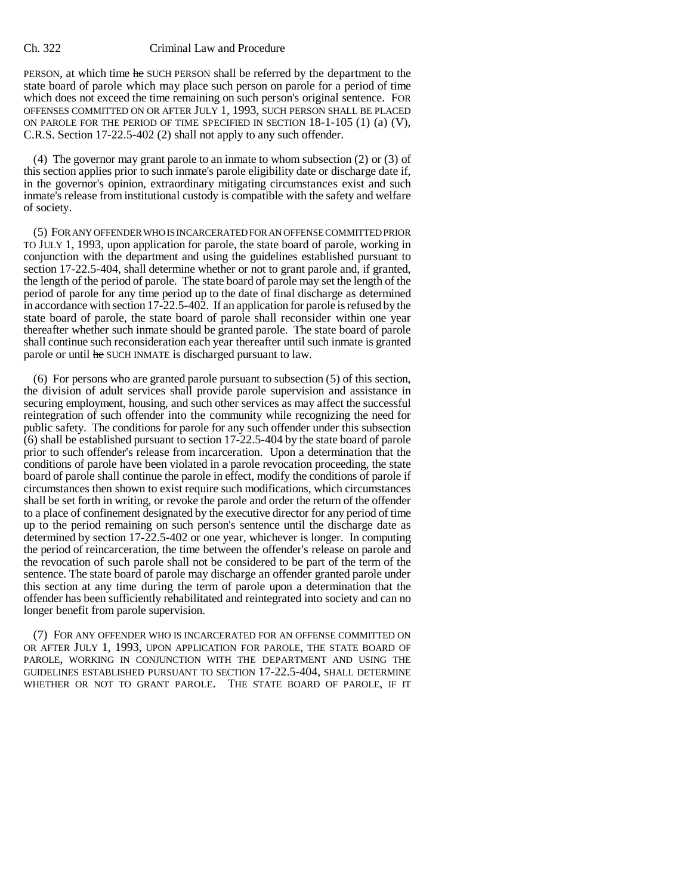PERSON, at which time he SUCH PERSON shall be referred by the department to the state board of parole which may place such person on parole for a period of time which does not exceed the time remaining on such person's original sentence. FOR OFFENSES COMMITTED ON OR AFTER JULY 1, 1993, SUCH PERSON SHALL BE PLACED ON PAROLE FOR THE PERIOD OF TIME SPECIFIED IN SECTION 18-1-105 (1) (a) (V), C.R.S. Section 17-22.5-402 (2) shall not apply to any such offender.

(4) The governor may grant parole to an inmate to whom subsection (2) or (3) of this section applies prior to such inmate's parole eligibility date or discharge date if, in the governor's opinion, extraordinary mitigating circumstances exist and such inmate's release from institutional custody is compatible with the safety and welfare of society.

(5) FOR ANY OFFENDER WHO IS INCARCERATED FOR AN OFFENSE COMMITTED PRIOR TO JULY 1, 1993, upon application for parole, the state board of parole, working in conjunction with the department and using the guidelines established pursuant to section 17-22.5-404, shall determine whether or not to grant parole and, if granted, the length of the period of parole. The state board of parole may set the length of the period of parole for any time period up to the date of final discharge as determined in accordance with section 17-22.5-402. If an application for parole is refused by the state board of parole, the state board of parole shall reconsider within one year thereafter whether such inmate should be granted parole. The state board of parole shall continue such reconsideration each year thereafter until such inmate is granted parole or until he SUCH INMATE is discharged pursuant to law.

(6) For persons who are granted parole pursuant to subsection (5) of this section, the division of adult services shall provide parole supervision and assistance in securing employment, housing, and such other services as may affect the successful reintegration of such offender into the community while recognizing the need for public safety. The conditions for parole for any such offender under this subsection (6) shall be established pursuant to section 17-22.5-404 by the state board of parole prior to such offender's release from incarceration. Upon a determination that the conditions of parole have been violated in a parole revocation proceeding, the state board of parole shall continue the parole in effect, modify the conditions of parole if circumstances then shown to exist require such modifications, which circumstances shall be set forth in writing, or revoke the parole and order the return of the offender to a place of confinement designated by the executive director for any period of time up to the period remaining on such person's sentence until the discharge date as determined by section 17-22.5-402 or one year, whichever is longer. In computing the period of reincarceration, the time between the offender's release on parole and the revocation of such parole shall not be considered to be part of the term of the sentence. The state board of parole may discharge an offender granted parole under this section at any time during the term of parole upon a determination that the offender has been sufficiently rehabilitated and reintegrated into society and can no longer benefit from parole supervision.

(7) FOR ANY OFFENDER WHO IS INCARCERATED FOR AN OFFENSE COMMITTED ON OR AFTER JULY 1, 1993, UPON APPLICATION FOR PAROLE, THE STATE BOARD OF PAROLE, WORKING IN CONJUNCTION WITH THE DEPARTMENT AND USING THE GUIDELINES ESTABLISHED PURSUANT TO SECTION 17-22.5-404, SHALL DETERMINE WHETHER OR NOT TO GRANT PAROLE. THE STATE BOARD OF PAROLE, IF IT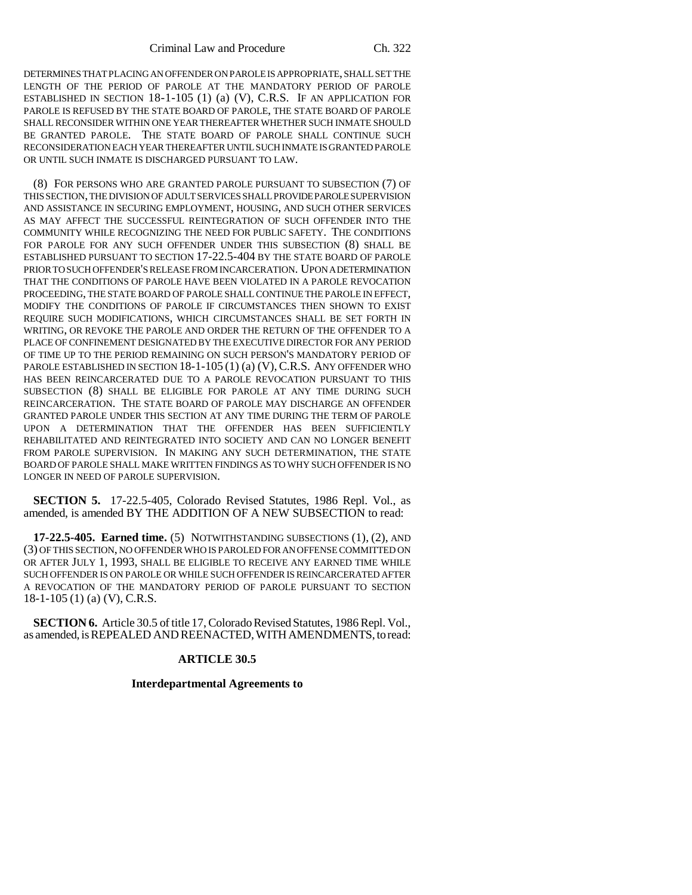Criminal Law and Procedure Ch. 322

DETERMINES THAT PLACING AN OFFENDER ON PAROLE IS APPROPRIATE, SHALL SET THE LENGTH OF THE PERIOD OF PAROLE AT THE MANDATORY PERIOD OF PAROLE ESTABLISHED IN SECTION 18-1-105 (1) (a) (V), C.R.S. IF AN APPLICATION FOR PAROLE IS REFUSED BY THE STATE BOARD OF PAROLE, THE STATE BOARD OF PAROLE SHALL RECONSIDER WITHIN ONE YEAR THEREAFTER WHETHER SUCH INMATE SHOULD BE GRANTED PAROLE. THE STATE BOARD OF PAROLE SHALL CONTINUE SUCH RECONSIDERATION EACH YEAR THEREAFTER UNTIL SUCH INMATE IS GRANTED PAROLE OR UNTIL SUCH INMATE IS DISCHARGED PURSUANT TO LAW.

(8) FOR PERSONS WHO ARE GRANTED PAROLE PURSUANT TO SUBSECTION (7) OF THIS SECTION, THE DIVISION OF ADULT SERVICES SHALL PROVIDE PAROLE SUPERVISION AND ASSISTANCE IN SECURING EMPLOYMENT, HOUSING, AND SUCH OTHER SERVICES AS MAY AFFECT THE SUCCESSFUL REINTEGRATION OF SUCH OFFENDER INTO THE COMMUNITY WHILE RECOGNIZING THE NEED FOR PUBLIC SAFETY. THE CONDITIONS FOR PAROLE FOR ANY SUCH OFFENDER UNDER THIS SUBSECTION (8) SHALL BE ESTABLISHED PURSUANT TO SECTION 17-22.5-404 BY THE STATE BOARD OF PAROLE PRIOR TO SUCH OFFENDER'S RELEASE FROM INCARCERATION. UPON A DETERMINATION THAT THE CONDITIONS OF PAROLE HAVE BEEN VIOLATED IN A PAROLE REVOCATION PROCEEDING, THE STATE BOARD OF PAROLE SHALL CONTINUE THE PAROLE IN EFFECT, MODIFY THE CONDITIONS OF PAROLE IF CIRCUMSTANCES THEN SHOWN TO EXIST REQUIRE SUCH MODIFICATIONS, WHICH CIRCUMSTANCES SHALL BE SET FORTH IN WRITING, OR REVOKE THE PAROLE AND ORDER THE RETURN OF THE OFFENDER TO A PLACE OF CONFINEMENT DESIGNATED BY THE EXECUTIVE DIRECTOR FOR ANY PERIOD OF TIME UP TO THE PERIOD REMAINING ON SUCH PERSON'S MANDATORY PERIOD OF PAROLE ESTABLISHED IN SECTION  $18-1-105(1)$  (a) (V), C.R.S. ANY OFFENDER WHO HAS BEEN REINCARCERATED DUE TO A PAROLE REVOCATION PURSUANT TO THIS SUBSECTION (8) SHALL BE ELIGIBLE FOR PAROLE AT ANY TIME DURING SUCH REINCARCERATION. THE STATE BOARD OF PAROLE MAY DISCHARGE AN OFFENDER GRANTED PAROLE UNDER THIS SECTION AT ANY TIME DURING THE TERM OF PAROLE UPON A DETERMINATION THAT THE OFFENDER HAS BEEN SUFFICIENTLY REHABILITATED AND REINTEGRATED INTO SOCIETY AND CAN NO LONGER BENEFIT FROM PAROLE SUPERVISION. IN MAKING ANY SUCH DETERMINATION, THE STATE BOARD OF PAROLE SHALL MAKE WRITTEN FINDINGS AS TO WHY SUCH OFFENDER IS NO LONGER IN NEED OF PAROLE SUPERVISION.

**SECTION 5.** 17-22.5-405, Colorado Revised Statutes, 1986 Repl. Vol., as amended, is amended BY THE ADDITION OF A NEW SUBSECTION to read:

**17-22.5-405. Earned time.** (5) NOTWITHSTANDING SUBSECTIONS (1), (2), AND (3) OF THIS SECTION, NO OFFENDER WHO IS PAROLED FOR AN OFFENSE COMMITTED ON OR AFTER JULY 1, 1993, SHALL BE ELIGIBLE TO RECEIVE ANY EARNED TIME WHILE SUCH OFFENDER IS ON PAROLE OR WHILE SUCH OFFENDER IS REINCARCERATED AFTER A REVOCATION OF THE MANDATORY PERIOD OF PAROLE PURSUANT TO SECTION 18-1-105 (1) (a) (V), C.R.S.

**SECTION 6.** Article 30.5 of title 17, Colorado Revised Statutes, 1986 Repl. Vol., as amended, is REPEALED AND REENACTED, WITH AMENDMENTS, to read:

## **ARTICLE 30.5**

## **Interdepartmental Agreements to**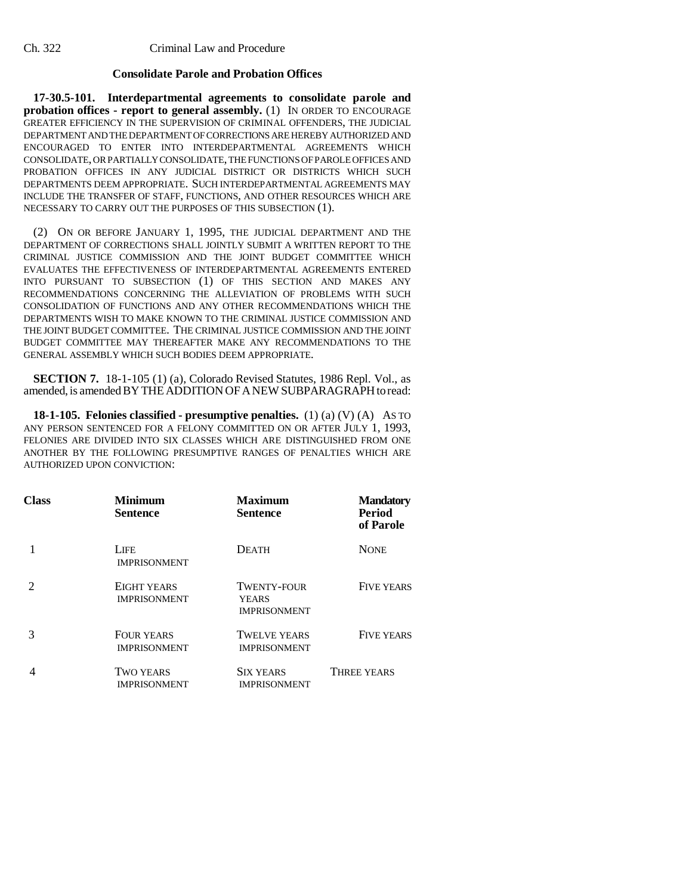## **Consolidate Parole and Probation Offices**

**17-30.5-101. Interdepartmental agreements to consolidate parole and probation offices - report to general assembly.** (1) IN ORDER TO ENCOURAGE GREATER EFFICIENCY IN THE SUPERVISION OF CRIMINAL OFFENDERS, THE JUDICIAL DEPARTMENT AND THE DEPARTMENT OF CORRECTIONS ARE HEREBY AUTHORIZED AND ENCOURAGED TO ENTER INTO INTERDEPARTMENTAL AGREEMENTS WHICH CONSOLIDATE, OR PARTIALLY CONSOLIDATE, THE FUNCTIONS OF PAROLE OFFICES AND PROBATION OFFICES IN ANY JUDICIAL DISTRICT OR DISTRICTS WHICH SUCH DEPARTMENTS DEEM APPROPRIATE. SUCH INTERDEPARTMENTAL AGREEMENTS MAY INCLUDE THE TRANSFER OF STAFF, FUNCTIONS, AND OTHER RESOURCES WHICH ARE NECESSARY TO CARRY OUT THE PURPOSES OF THIS SUBSECTION (1).

(2) ON OR BEFORE JANUARY 1, 1995, THE JUDICIAL DEPARTMENT AND THE DEPARTMENT OF CORRECTIONS SHALL JOINTLY SUBMIT A WRITTEN REPORT TO THE CRIMINAL JUSTICE COMMISSION AND THE JOINT BUDGET COMMITTEE WHICH EVALUATES THE EFFECTIVENESS OF INTERDEPARTMENTAL AGREEMENTS ENTERED INTO PURSUANT TO SUBSECTION (1) OF THIS SECTION AND MAKES ANY RECOMMENDATIONS CONCERNING THE ALLEVIATION OF PROBLEMS WITH SUCH CONSOLIDATION OF FUNCTIONS AND ANY OTHER RECOMMENDATIONS WHICH THE DEPARTMENTS WISH TO MAKE KNOWN TO THE CRIMINAL JUSTICE COMMISSION AND THE JOINT BUDGET COMMITTEE. THE CRIMINAL JUSTICE COMMISSION AND THE JOINT BUDGET COMMITTEE MAY THEREAFTER MAKE ANY RECOMMENDATIONS TO THE GENERAL ASSEMBLY WHICH SUCH BODIES DEEM APPROPRIATE.

**SECTION 7.** 18-1-105 (1) (a), Colorado Revised Statutes, 1986 Repl. Vol., as amended, is amended BY THE ADDITION OF A NEW SUBPARAGRAPH to read:

**18-1-105. Felonies classified - presumptive penalties.** (1) (a) (V) (A) AS TO ANY PERSON SENTENCED FOR A FELONY COMMITTED ON OR AFTER JULY 1, 1993, FELONIES ARE DIVIDED INTO SIX CLASSES WHICH ARE DISTINGUISHED FROM ONE ANOTHER BY THE FOLLOWING PRESUMPTIVE RANGES OF PENALTIES WHICH ARE AUTHORIZED UPON CONVICTION:

| Class | <b>Minimum</b><br><b>Sentence</b>        | <b>Maximum</b><br><b>Sentence</b>                         | <b>Mandatory</b><br><b>Period</b><br>of Parole |
|-------|------------------------------------------|-----------------------------------------------------------|------------------------------------------------|
|       | <b>LIFE</b><br><b>IMPRISONMENT</b>       | <b>DEATH</b>                                              | <b>NONE</b>                                    |
|       | EIGHT YEARS<br><b>IMPRISONMENT</b>       | <b>TWENTY-FOUR</b><br><b>YEARS</b><br><b>IMPRISONMENT</b> | <b>FIVE YEARS</b>                              |
|       | <b>FOUR YEARS</b><br><b>IMPRISONMENT</b> | <b>TWELVE YEARS</b><br><b>IMPRISONMENT</b>                | <b>FIVE YEARS</b>                              |
|       | <b>TWO YEARS</b><br><b>IMPRISONMENT</b>  | <b>SIX YEARS</b><br><b>IMPRISONMENT</b>                   | THREE YEARS                                    |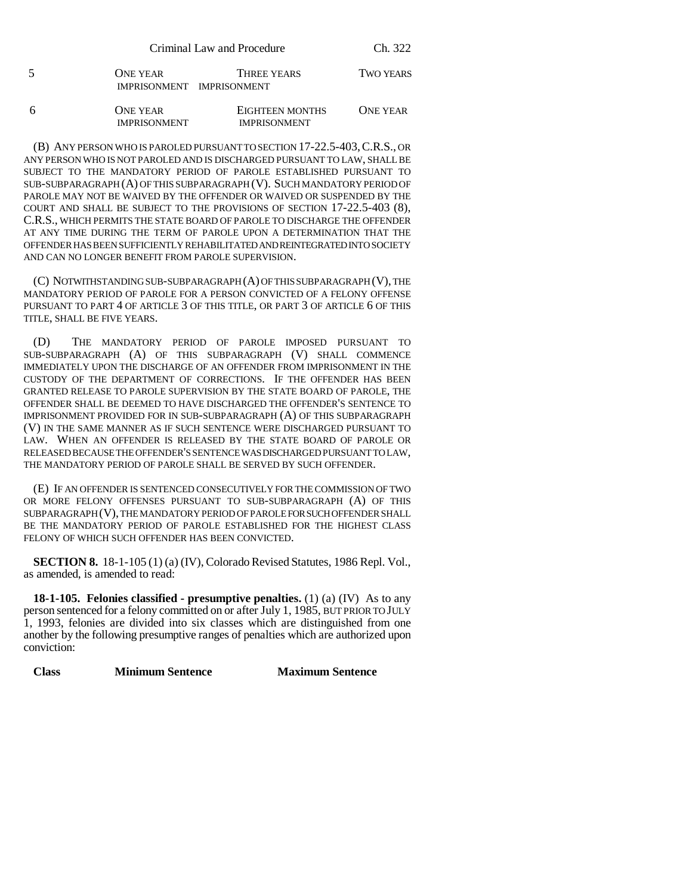| Criminal Law and Procedure | Ch. 322 |
|----------------------------|---------|
|----------------------------|---------|

| <b>ONE YEAR</b>           | THREE YEARS | <b>TWO YEARS</b> |
|---------------------------|-------------|------------------|
| IMPRISONMENT IMPRISONMENT |             |                  |

| ONE YEAR            | <b>EIGHTEEN MONTHS</b> | ONE YEAR |
|---------------------|------------------------|----------|
| <b>IMPRISONMENT</b> | <b>IMPRISONMENT</b>    |          |

(B) ANY PERSON WHO IS PAROLED PURSUANT TO SECTION 17-22.5-403,C.R.S., OR ANY PERSON WHO IS NOT PAROLED AND IS DISCHARGED PURSUANT TO LAW, SHALL BE SUBJECT TO THE MANDATORY PERIOD OF PAROLE ESTABLISHED PURSUANT TO SUB-SUBPARAGRAPH (A) OF THIS SUBPARAGRAPH (V). SUCH MANDATORY PERIOD OF PAROLE MAY NOT BE WAIVED BY THE OFFENDER OR WAIVED OR SUSPENDED BY THE COURT AND SHALL BE SUBJECT TO THE PROVISIONS OF SECTION 17-22.5-403 (8), C.R.S., WHICH PERMITS THE STATE BOARD OF PAROLE TO DISCHARGE THE OFFENDER AT ANY TIME DURING THE TERM OF PAROLE UPON A DETERMINATION THAT THE OFFENDER HAS BEEN SUFFICIENTLY REHABILITATED AND REINTEGRATED INTO SOCIETY AND CAN NO LONGER BENEFIT FROM PAROLE SUPERVISION.

(C) NOTWITHSTANDING SUB-SUBPARAGRAPH (A) OF THIS SUBPARAGRAPH (V), THE MANDATORY PERIOD OF PAROLE FOR A PERSON CONVICTED OF A FELONY OFFENSE PURSUANT TO PART 4 OF ARTICLE 3 OF THIS TITLE, OR PART 3 OF ARTICLE 6 OF THIS TITLE, SHALL BE FIVE YEARS.

(D) THE MANDATORY PERIOD OF PAROLE IMPOSED PURSUANT TO SUB-SUBPARAGRAPH (A) OF THIS SUBPARAGRAPH (V) SHALL COMMENCE IMMEDIATELY UPON THE DISCHARGE OF AN OFFENDER FROM IMPRISONMENT IN THE CUSTODY OF THE DEPARTMENT OF CORRECTIONS. IF THE OFFENDER HAS BEEN GRANTED RELEASE TO PAROLE SUPERVISION BY THE STATE BOARD OF PAROLE, THE OFFENDER SHALL BE DEEMED TO HAVE DISCHARGED THE OFFENDER'S SENTENCE TO IMPRISONMENT PROVIDED FOR IN SUB-SUBPARAGRAPH (A) OF THIS SUBPARAGRAPH (V) IN THE SAME MANNER AS IF SUCH SENTENCE WERE DISCHARGED PURSUANT TO LAW. WHEN AN OFFENDER IS RELEASED BY THE STATE BOARD OF PAROLE OR RELEASED BECAUSE THE OFFENDER'S SENTENCE WAS DISCHARGED PURSUANT TO LAW, THE MANDATORY PERIOD OF PAROLE SHALL BE SERVED BY SUCH OFFENDER.

(E) IF AN OFFENDER IS SENTENCED CONSECUTIVELY FOR THE COMMISSION OF TWO OR MORE FELONY OFFENSES PURSUANT TO SUB-SUBPARAGRAPH (A) OF THIS SUBPARAGRAPH (V), THE MANDATORY PERIOD OF PAROLE FOR SUCH OFFENDER SHALL BE THE MANDATORY PERIOD OF PAROLE ESTABLISHED FOR THE HIGHEST CLASS FELONY OF WHICH SUCH OFFENDER HAS BEEN CONVICTED.

**SECTION 8.** 18-1-105 (1) (a) (IV), Colorado Revised Statutes, 1986 Repl. Vol., as amended, is amended to read:

**18-1-105. Felonies classified - presumptive penalties.** (1) (a) (IV) As to any person sentenced for a felony committed on or after July 1, 1985, BUT PRIOR TO JULY 1, 1993, felonies are divided into six classes which are distinguished from one another by the following presumptive ranges of penalties which are authorized upon conviction:

**Class Minimum Sentence Maximum Sentence**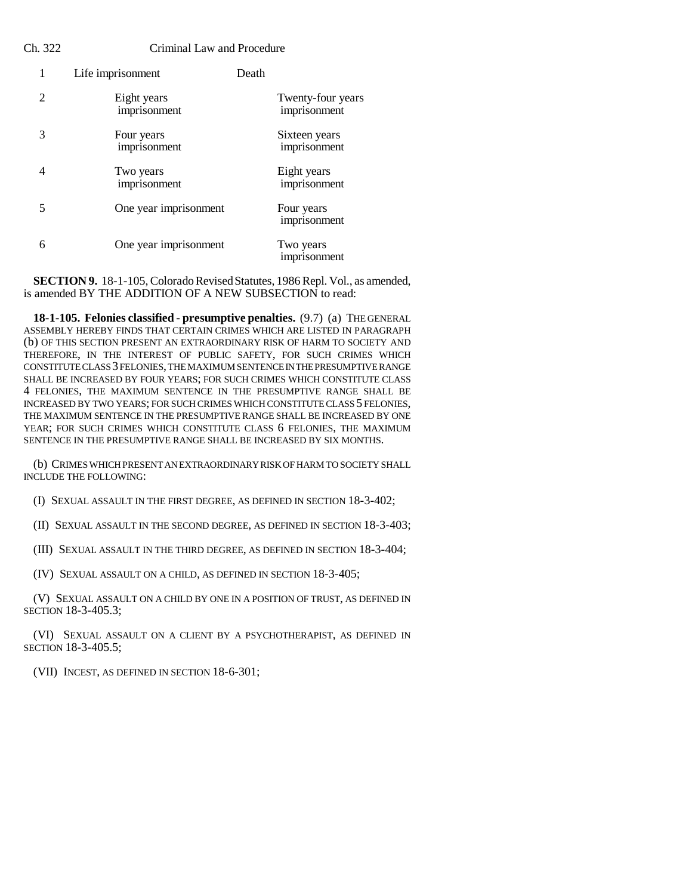|   | Life imprisonment           | Death |                                   |
|---|-----------------------------|-------|-----------------------------------|
| 2 | Eight years<br>imprisonment |       | Twenty-four years<br>imprisonment |
| 3 | Four years<br>imprisonment  |       | Sixteen years<br>imprisonment     |
| 4 | Two years<br>imprisonment   |       | Eight years<br>imprisonment       |
| 5 | One year imprisonment       |       | Four years<br>imprisonment        |
| 6 | One year imprisonment       |       | Two years<br>imprisonment         |

**SECTION 9.** 18-1-105, Colorado Revised Statutes, 1986 Repl. Vol., as amended, is amended BY THE ADDITION OF A NEW SUBSECTION to read:

**18-1-105. Felonies classified - presumptive penalties.** (9.7) (a) THE GENERAL ASSEMBLY HEREBY FINDS THAT CERTAIN CRIMES WHICH ARE LISTED IN PARAGRAPH (b) OF THIS SECTION PRESENT AN EXTRAORDINARY RISK OF HARM TO SOCIETY AND THEREFORE, IN THE INTEREST OF PUBLIC SAFETY, FOR SUCH CRIMES WHICH CONSTITUTE CLASS 3 FELONIES, THE MAXIMUM SENTENCE IN THE PRESUMPTIVE RANGE SHALL BE INCREASED BY FOUR YEARS; FOR SUCH CRIMES WHICH CONSTITUTE CLASS 4 FELONIES, THE MAXIMUM SENTENCE IN THE PRESUMPTIVE RANGE SHALL BE INCREASED BY TWO YEARS; FOR SUCH CRIMES WHICH CONSTITUTE CLASS 5 FELONIES, THE MAXIMUM SENTENCE IN THE PRESUMPTIVE RANGE SHALL BE INCREASED BY ONE YEAR; FOR SUCH CRIMES WHICH CONSTITUTE CLASS  $6$  FELONIES, THE MAXIMUM SENTENCE IN THE PRESUMPTIVE RANGE SHALL BE INCREASED BY SIX MONTHS.

(b) CRIMES WHICH PRESENT AN EXTRAORDINARY RISK OF HARM TO SOCIETY SHALL INCLUDE THE FOLLOWING:

(I) SEXUAL ASSAULT IN THE FIRST DEGREE, AS DEFINED IN SECTION 18-3-402;

(II) SEXUAL ASSAULT IN THE SECOND DEGREE, AS DEFINED IN SECTION 18-3-403;

(III) SEXUAL ASSAULT IN THE THIRD DEGREE, AS DEFINED IN SECTION 18-3-404;

(IV) SEXUAL ASSAULT ON A CHILD, AS DEFINED IN SECTION 18-3-405;

(V) SEXUAL ASSAULT ON A CHILD BY ONE IN A POSITION OF TRUST, AS DEFINED IN SECTION 18-3-405.3;

(VI) SEXUAL ASSAULT ON A CLIENT BY A PSYCHOTHERAPIST, AS DEFINED IN SECTION 18-3-405.5;

(VII) INCEST, AS DEFINED IN SECTION 18-6-301;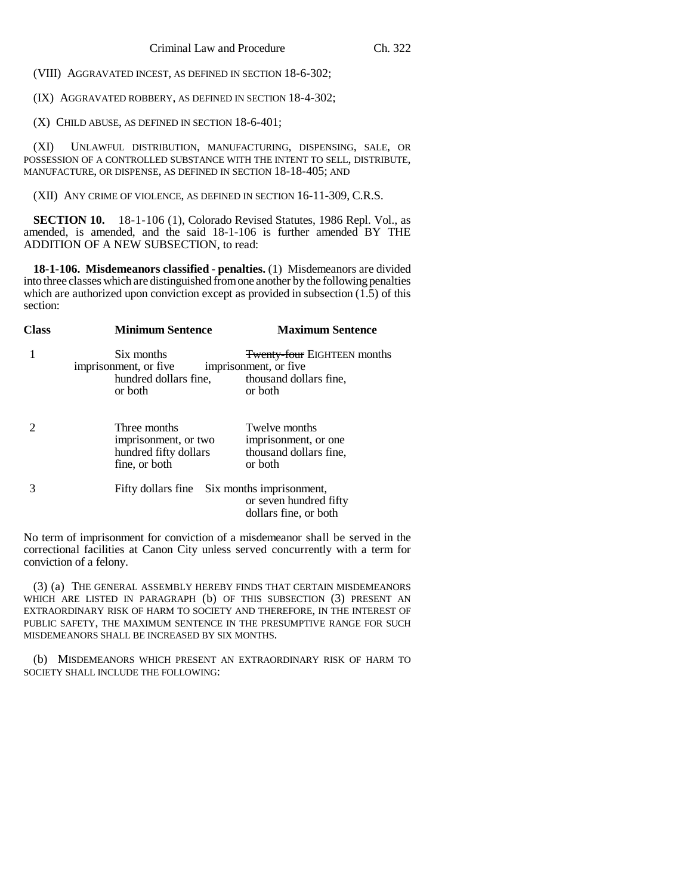(VIII) AGGRAVATED INCEST, AS DEFINED IN SECTION 18-6-302;

(IX) AGGRAVATED ROBBERY, AS DEFINED IN SECTION 18-4-302;

(X) CHILD ABUSE, AS DEFINED IN SECTION 18-6-401;

(XI) UNLAWFUL DISTRIBUTION, MANUFACTURING, DISPENSING, SALE, OR POSSESSION OF A CONTROLLED SUBSTANCE WITH THE INTENT TO SELL, DISTRIBUTE, MANUFACTURE, OR DISPENSE, AS DEFINED IN SECTION 18-18-405; AND

(XII) ANY CRIME OF VIOLENCE, AS DEFINED IN SECTION 16-11-309, C.R.S.

**SECTION 10.** 18-1-106 (1), Colorado Revised Statutes, 1986 Repl. Vol., as amended, is amended, and the said 18-1-106 is further amended BY THE ADDITION OF A NEW SUBSECTION, to read:

**18-1-106. Misdemeanors classified - penalties.** (1) Misdemeanors are divided into three classes which are distinguished from one another by the following penalties which are authorized upon conviction except as provided in subsection  $(1.5)$  of this section:

| <b>Class</b> | <b>Minimum Sentence</b>                                                        | <b>Maximum Sentence</b>                                                    |
|--------------|--------------------------------------------------------------------------------|----------------------------------------------------------------------------|
|              | Six months<br>imprisonment, or five                                            | <b>Twenty-four EIGHTEEN months</b><br>imprisonment, or five                |
|              | hundred dollars fine, thousand dollars fine,<br>or both                        | or both                                                                    |
|              | Three months<br>imprisonment, or two<br>hundred fifty dollars<br>fine, or both | Twelve months<br>imprisonment, or one<br>thousand dollars fine,<br>or both |
|              | Fifty dollars fine Six months imprisonment,                                    | or seven hundred fifty<br>dollars fine, or both                            |

No term of imprisonment for conviction of a misdemeanor shall be served in the correctional facilities at Canon City unless served concurrently with a term for conviction of a felony.

(3) (a) THE GENERAL ASSEMBLY HEREBY FINDS THAT CERTAIN MISDEMEANORS WHICH ARE LISTED IN PARAGRAPH (b) OF THIS SUBSECTION (3) PRESENT AN EXTRAORDINARY RISK OF HARM TO SOCIETY AND THEREFORE, IN THE INTEREST OF PUBLIC SAFETY, THE MAXIMUM SENTENCE IN THE PRESUMPTIVE RANGE FOR SUCH MISDEMEANORS SHALL BE INCREASED BY SIX MONTHS.

(b) MISDEMEANORS WHICH PRESENT AN EXTRAORDINARY RISK OF HARM TO SOCIETY SHALL INCLUDE THE FOLLOWING: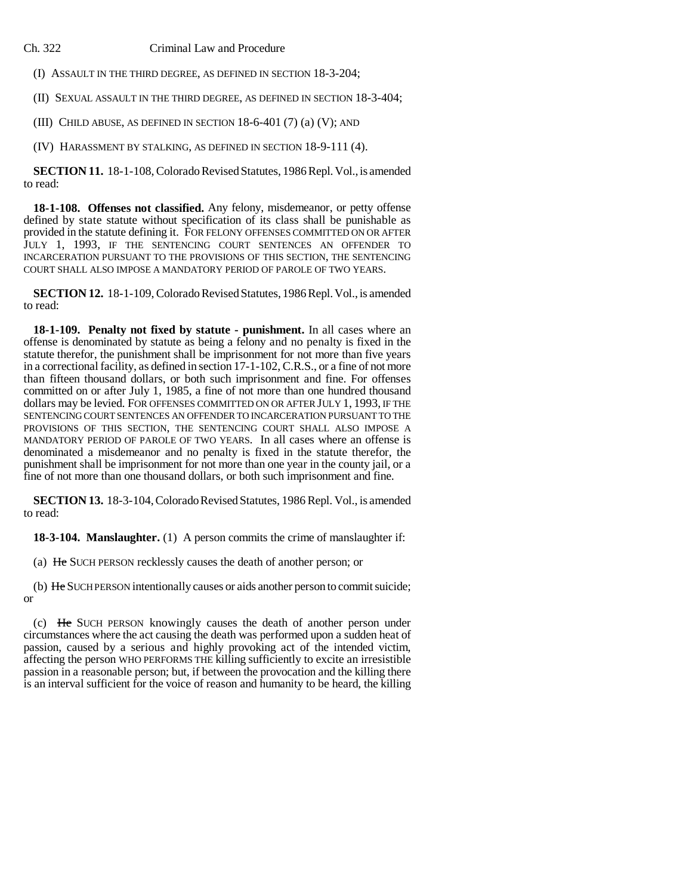(I) ASSAULT IN THE THIRD DEGREE, AS DEFINED IN SECTION 18-3-204;

(II) SEXUAL ASSAULT IN THE THIRD DEGREE, AS DEFINED IN SECTION 18-3-404;

(III) CHILD ABUSE, AS DEFINED IN SECTION 18-6-401 (7) (a) (V); AND

(IV) HARASSMENT BY STALKING, AS DEFINED IN SECTION 18-9-111 (4).

**SECTION 11.** 18-1-108, Colorado Revised Statutes, 1986 Repl. Vol., is amended to read:

**18-1-108. Offenses not classified.** Any felony, misdemeanor, or petty offense defined by state statute without specification of its class shall be punishable as provided in the statute defining it. FOR FELONY OFFENSES COMMITTED ON OR AFTER JULY 1, 1993, IF THE SENTENCING COURT SENTENCES AN OFFENDER TO INCARCERATION PURSUANT TO THE PROVISIONS OF THIS SECTION, THE SENTENCING COURT SHALL ALSO IMPOSE A MANDATORY PERIOD OF PAROLE OF TWO YEARS.

**SECTION 12.** 18-1-109, Colorado Revised Statutes, 1986 Repl. Vol., is amended to read:

**18-1-109. Penalty not fixed by statute - punishment.** In all cases where an offense is denominated by statute as being a felony and no penalty is fixed in the statute therefor, the punishment shall be imprisonment for not more than five years in a correctional facility, as defined in section 17-1-102, C.R.S., or a fine of not more than fifteen thousand dollars, or both such imprisonment and fine. For offenses committed on or after July 1, 1985, a fine of not more than one hundred thousand dollars may be levied. FOR OFFENSES COMMITTED ON OR AFTER JULY 1, 1993, IF THE SENTENCING COURT SENTENCES AN OFFENDER TO INCARCERATION PURSUANT TO THE PROVISIONS OF THIS SECTION, THE SENTENCING COURT SHALL ALSO IMPOSE A MANDATORY PERIOD OF PAROLE OF TWO YEARS. In all cases where an offense is denominated a misdemeanor and no penalty is fixed in the statute therefor, the punishment shall be imprisonment for not more than one year in the county jail, or a fine of not more than one thousand dollars, or both such imprisonment and fine.

**SECTION 13.** 18-3-104, Colorado Revised Statutes, 1986 Repl. Vol., is amended to read:

**18-3-104. Manslaughter.** (1) A person commits the crime of manslaughter if:

(a) He SUCH PERSON recklessly causes the death of another person; or

(b) He SUCH PERSON intentionally causes or aids another person to commit suicide; or

(c) He SUCH PERSON knowingly causes the death of another person under circumstances where the act causing the death was performed upon a sudden heat of passion, caused by a serious and highly provoking act of the intended victim, affecting the person WHO PERFORMS THE killing sufficiently to excite an irresistible passion in a reasonable person; but, if between the provocation and the killing there is an interval sufficient for the voice of reason and humanity to be heard, the killing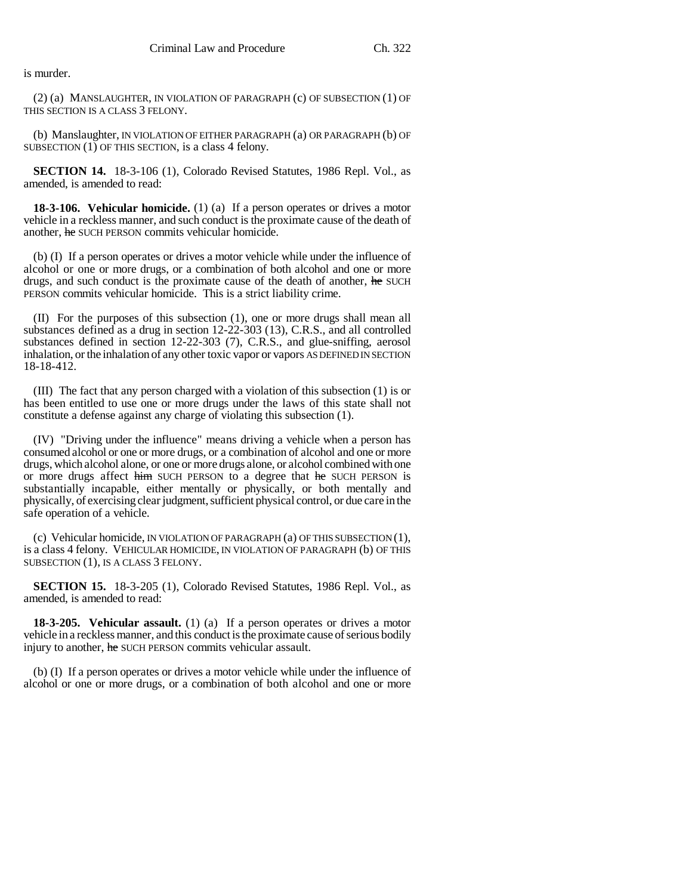is murder.

(2) (a) MANSLAUGHTER, IN VIOLATION OF PARAGRAPH (c) OF SUBSECTION (1) OF THIS SECTION IS A CLASS 3 FELONY.

(b) Manslaughter, IN VIOLATION OF EITHER PARAGRAPH (a) OR PARAGRAPH (b) OF SUBSECTION  $(1)$  OF THIS SECTION, is a class 4 felony.

**SECTION 14.** 18-3-106 (1), Colorado Revised Statutes, 1986 Repl. Vol., as amended, is amended to read:

**18-3-106. Vehicular homicide.** (1) (a) If a person operates or drives a motor vehicle in a reckless manner, and such conduct is the proximate cause of the death of another, he SUCH PERSON commits vehicular homicide.

(b) (I) If a person operates or drives a motor vehicle while under the influence of alcohol or one or more drugs, or a combination of both alcohol and one or more drugs, and such conduct is the proximate cause of the death of another, he SUCH PERSON commits vehicular homicide. This is a strict liability crime.

(II) For the purposes of this subsection (1), one or more drugs shall mean all substances defined as a drug in section 12-22-303 (13), C.R.S., and all controlled substances defined in section 12-22-303 (7), C.R.S., and glue-sniffing, aerosol inhalation, or the inhalation of any other toxic vapor or vapors AS DEFINED IN SECTION 18-18-412.

(III) The fact that any person charged with a violation of this subsection (1) is or has been entitled to use one or more drugs under the laws of this state shall not constitute a defense against any charge of violating this subsection (1).

(IV) "Driving under the influence" means driving a vehicle when a person has consumed alcohol or one or more drugs, or a combination of alcohol and one or more drugs, which alcohol alone, or one or more drugs alone, or alcohol combined with one or more drugs affect him SUCH PERSON to a degree that he SUCH PERSON is substantially incapable, either mentally or physically, or both mentally and physically, of exercising clear judgment, sufficient physical control, or due care in the safe operation of a vehicle.

(c) Vehicular homicide, IN VIOLATION OF PARAGRAPH (a) OF THIS SUBSECTION (1), is a class 4 felony. VEHICULAR HOMICIDE, IN VIOLATION OF PARAGRAPH (b) OF THIS SUBSECTION (1), IS A CLASS 3 FELONY.

**SECTION 15.** 18-3-205 (1), Colorado Revised Statutes, 1986 Repl. Vol., as amended, is amended to read:

**18-3-205.** Vehicular assault. (1) (a) If a person operates or drives a motor vehicle in a reckless manner, and this conduct is the proximate cause of serious bodily injury to another, he SUCH PERSON commits vehicular assault.

(b) (I) If a person operates or drives a motor vehicle while under the influence of alcohol or one or more drugs, or a combination of both alcohol and one or more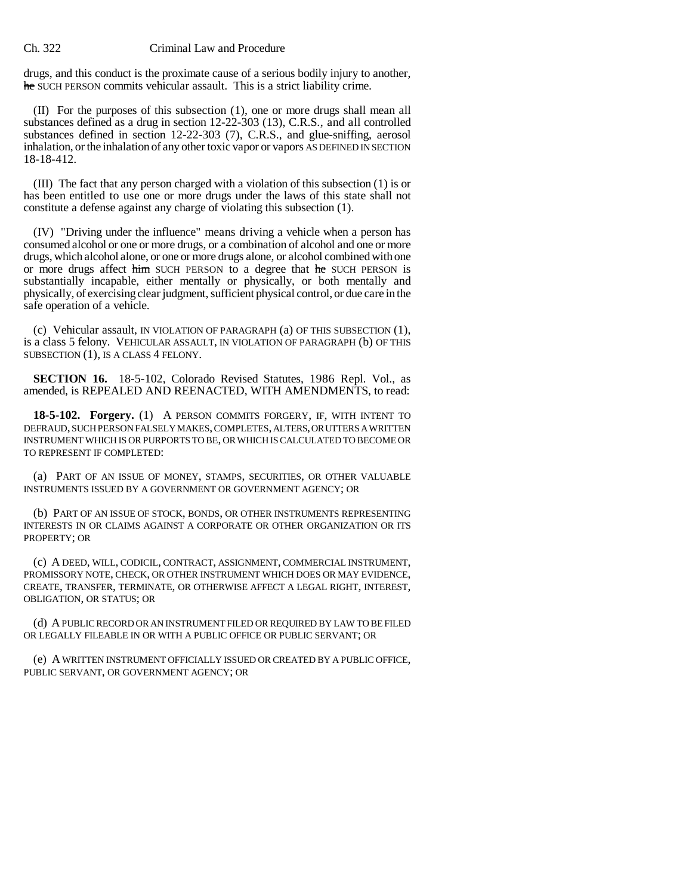drugs, and this conduct is the proximate cause of a serious bodily injury to another, he SUCH PERSON commits vehicular assault. This is a strict liability crime.

(II) For the purposes of this subsection (1), one or more drugs shall mean all substances defined as a drug in section 12-22-303 (13), C.R.S., and all controlled substances defined in section 12-22-303 (7), C.R.S., and glue-sniffing, aerosol inhalation, or the inhalation of any other toxic vapor or vapors AS DEFINED IN SECTION 18-18-412.

(III) The fact that any person charged with a violation of this subsection (1) is or has been entitled to use one or more drugs under the laws of this state shall not constitute a defense against any charge of violating this subsection (1).

(IV) "Driving under the influence" means driving a vehicle when a person has consumed alcohol or one or more drugs, or a combination of alcohol and one or more drugs, which alcohol alone, or one or more drugs alone, or alcohol combined with one or more drugs affect him SUCH PERSON to a degree that he SUCH PERSON is substantially incapable, either mentally or physically, or both mentally and physically, of exercising clear judgment, sufficient physical control, or due care in the safe operation of a vehicle.

(c) Vehicular assault, IN VIOLATION OF PARAGRAPH (a) OF THIS SUBSECTION (1), is a class 5 felony. VEHICULAR ASSAULT, IN VIOLATION OF PARAGRAPH (b) OF THIS SUBSECTION (1), IS A CLASS 4 FELONY.

**SECTION 16.** 18-5-102, Colorado Revised Statutes, 1986 Repl. Vol., as amended, is REPEALED AND REENACTED, WITH AMENDMENTS, to read:

**18-5-102. Forgery.** (1) A PERSON COMMITS FORGERY, IF, WITH INTENT TO DEFRAUD, SUCH PERSON FALSELY MAKES, COMPLETES, ALTERS, OR UTTERS A WRITTEN INSTRUMENT WHICH IS OR PURPORTS TO BE, OR WHICH IS CALCULATED TO BECOME OR TO REPRESENT IF COMPLETED:

(a) PART OF AN ISSUE OF MONEY, STAMPS, SECURITIES, OR OTHER VALUABLE INSTRUMENTS ISSUED BY A GOVERNMENT OR GOVERNMENT AGENCY; OR

(b) PART OF AN ISSUE OF STOCK, BONDS, OR OTHER INSTRUMENTS REPRESENTING INTERESTS IN OR CLAIMS AGAINST A CORPORATE OR OTHER ORGANIZATION OR ITS PROPERTY; OR

(c) A DEED, WILL, CODICIL, CONTRACT, ASSIGNMENT, COMMERCIAL INSTRUMENT, PROMISSORY NOTE, CHECK, OR OTHER INSTRUMENT WHICH DOES OR MAY EVIDENCE, CREATE, TRANSFER, TERMINATE, OR OTHERWISE AFFECT A LEGAL RIGHT, INTEREST, OBLIGATION, OR STATUS; OR

(d) A PUBLIC RECORD OR AN INSTRUMENT FILED OR REQUIRED BY LAW TO BE FILED OR LEGALLY FILEABLE IN OR WITH A PUBLIC OFFICE OR PUBLIC SERVANT; OR

(e) A WRITTEN INSTRUMENT OFFICIALLY ISSUED OR CREATED BY A PUBLIC OFFICE, PUBLIC SERVANT, OR GOVERNMENT AGENCY; OR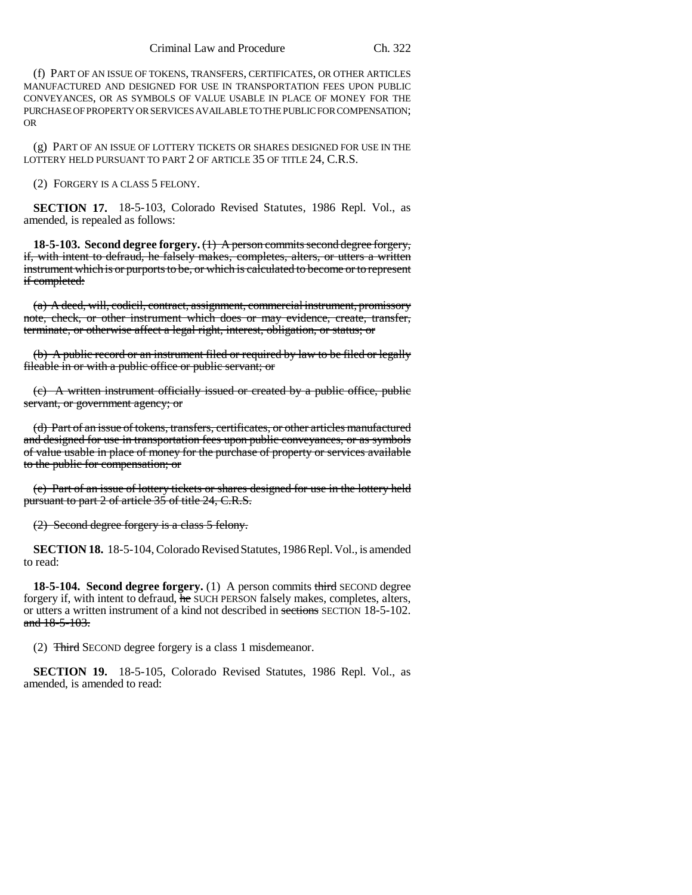(f) PART OF AN ISSUE OF TOKENS, TRANSFERS, CERTIFICATES, OR OTHER ARTICLES MANUFACTURED AND DESIGNED FOR USE IN TRANSPORTATION FEES UPON PUBLIC CONVEYANCES, OR AS SYMBOLS OF VALUE USABLE IN PLACE OF MONEY FOR THE PURCHASE OF PROPERTY OR SERVICES AVAILABLE TO THE PUBLIC FOR COMPENSATION; OR

(g) PART OF AN ISSUE OF LOTTERY TICKETS OR SHARES DESIGNED FOR USE IN THE LOTTERY HELD PURSUANT TO PART 2 OF ARTICLE 35 OF TITLE 24, C.R.S.

(2) FORGERY IS A CLASS 5 FELONY.

**SECTION 17.** 18-5-103, Colorado Revised Statutes, 1986 Repl. Vol., as amended, is repealed as follows:

**18-5-103. Second degree forgery.** (1) A person commits second degree forgery, if, with intent to defraud, he falsely makes, completes, alters, or utters a written instrument which is or purports to be, or which is calculated to become or to represent if completed:

(a) A deed, will, codicil, contract, assignment, commercial instrument, promissory note, check, or other instrument which does or may evidence, create, transfer, terminate, or otherwise affect a legal right, interest, obligation, or status; or

(b) A public record or an instrument filed or required by law to be filed or legally fileable in or with a public office or public servant; or

(c) A written instrument officially issued or created by a public office, public servant, or government agency; or

(d) Part of an issue of tokens, transfers, certificates, or other articles manufactured and designed for use in transportation fees upon public conveyances, or as symbols of value usable in place of money for the purchase of property or services available to the public for compensation; or

(e) Part of an issue of lottery tickets or shares designed for use in the lottery held pursuant to part 2 of article 35 of title 24, C.R.S.

(2) Second degree forgery is a class 5 felony.

**SECTION 18.** 18-5-104, Colorado Revised Statutes, 1986 Repl. Vol., is amended to read:

**18-5-104. Second degree forgery.** (1) A person commits third SECOND degree forgery if, with intent to defraud, he SUCH PERSON falsely makes, completes, alters, or utters a written instrument of a kind not described in sections SECTION 18-5-102. and 18-5-103.

(2) Third SECOND degree forgery is a class 1 misdemeanor.

**SECTION 19.** 18-5-105, Colorado Revised Statutes, 1986 Repl. Vol., as amended, is amended to read: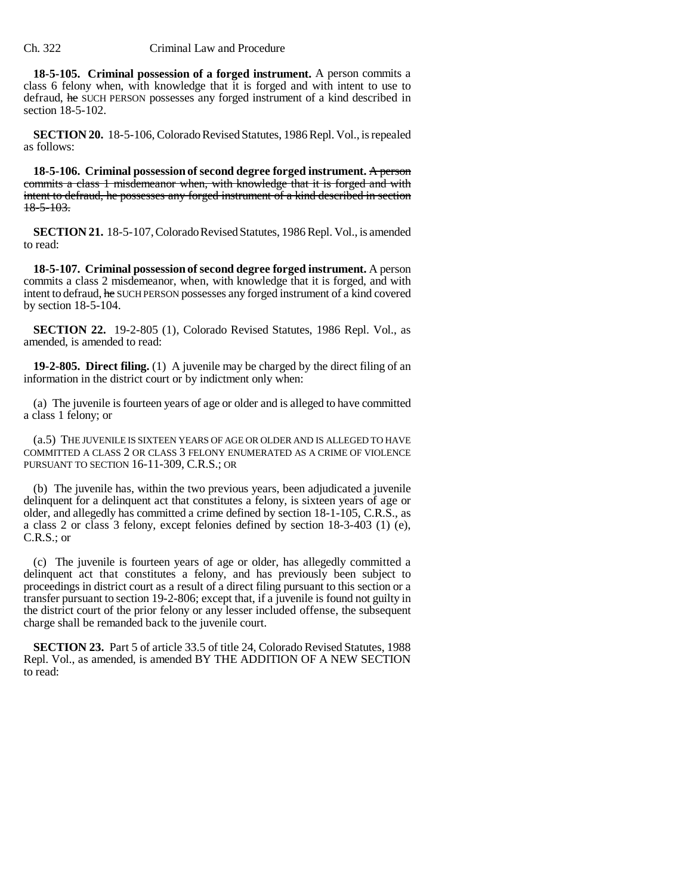**18-5-105. Criminal possession of a forged instrument.** A person commits a class 6 felony when, with knowledge that it is forged and with intent to use to defraud, he SUCH PERSON possesses any forged instrument of a kind described in section 18-5-102.

**SECTION 20.** 18-5-106, Colorado Revised Statutes, 1986 Repl. Vol., is repealed as follows:

**18-5-106. Criminal possession of second degree forged instrument.** A person commits a class 1 misdemeanor when, with knowledge that it is forged and with intent to defraud, he possesses any forged instrument of a kind described in section 18-5-103.

**SECTION 21.** 18-5-107, Colorado Revised Statutes, 1986 Repl. Vol., is amended to read:

**18-5-107. Criminal possession of second degree forged instrument.** A person commits a class 2 misdemeanor, when, with knowledge that it is forged, and with intent to defraud, he SUCH PERSON possesses any forged instrument of a kind covered by section 18-5-104.

**SECTION 22.** 19-2-805 (1), Colorado Revised Statutes, 1986 Repl. Vol., as amended, is amended to read:

**19-2-805. Direct filing.** (1) A juvenile may be charged by the direct filing of an information in the district court or by indictment only when:

(a) The juvenile is fourteen years of age or older and is alleged to have committed a class 1 felony; or

(a.5) THE JUVENILE IS SIXTEEN YEARS OF AGE OR OLDER AND IS ALLEGED TO HAVE COMMITTED A CLASS 2 OR CLASS 3 FELONY ENUMERATED AS A CRIME OF VIOLENCE PURSUANT TO SECTION 16-11-309, C.R.S.; OR

(b) The juvenile has, within the two previous years, been adjudicated a juvenile delinquent for a delinquent act that constitutes a felony, is sixteen years of age or older, and allegedly has committed a crime defined by section 18-1-105, C.R.S., as a class 2 or class 3 felony, except felonies defined by section 18-3-403 (1) (e), C.R.S.; or

(c) The juvenile is fourteen years of age or older, has allegedly committed a delinquent act that constitutes a felony, and has previously been subject to proceedings in district court as a result of a direct filing pursuant to this section or a transfer pursuant to section 19-2-806; except that, if a juvenile is found not guilty in the district court of the prior felony or any lesser included offense, the subsequent charge shall be remanded back to the juvenile court.

**SECTION 23.** Part 5 of article 33.5 of title 24, Colorado Revised Statutes, 1988 Repl. Vol., as amended, is amended BY THE ADDITION OF A NEW SECTION to read: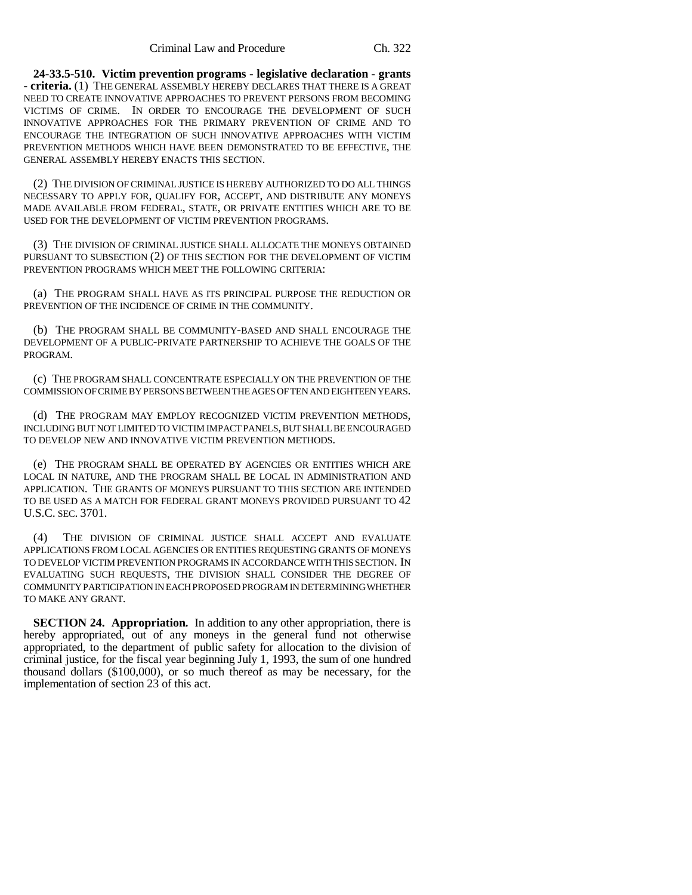**24-33.5-510. Victim prevention programs - legislative declaration - grants - criteria.** (1) THE GENERAL ASSEMBLY HEREBY DECLARES THAT THERE IS A GREAT NEED TO CREATE INNOVATIVE APPROACHES TO PREVENT PERSONS FROM BECOMING VICTIMS OF CRIME. IN ORDER TO ENCOURAGE THE DEVELOPMENT OF SUCH INNOVATIVE APPROACHES FOR THE PRIMARY PREVENTION OF CRIME AND TO ENCOURAGE THE INTEGRATION OF SUCH INNOVATIVE APPROACHES WITH VICTIM PREVENTION METHODS WHICH HAVE BEEN DEMONSTRATED TO BE EFFECTIVE, THE GENERAL ASSEMBLY HEREBY ENACTS THIS SECTION.

(2) THE DIVISION OF CRIMINAL JUSTICE IS HEREBY AUTHORIZED TO DO ALL THINGS NECESSARY TO APPLY FOR, QUALIFY FOR, ACCEPT, AND DISTRIBUTE ANY MONEYS MADE AVAILABLE FROM FEDERAL, STATE, OR PRIVATE ENTITIES WHICH ARE TO BE USED FOR THE DEVELOPMENT OF VICTIM PREVENTION PROGRAMS.

(3) THE DIVISION OF CRIMINAL JUSTICE SHALL ALLOCATE THE MONEYS OBTAINED PURSUANT TO SUBSECTION (2) OF THIS SECTION FOR THE DEVELOPMENT OF VICTIM PREVENTION PROGRAMS WHICH MEET THE FOLLOWING CRITERIA:

(a) THE PROGRAM SHALL HAVE AS ITS PRINCIPAL PURPOSE THE REDUCTION OR PREVENTION OF THE INCIDENCE OF CRIME IN THE COMMUNITY.

(b) THE PROGRAM SHALL BE COMMUNITY-BASED AND SHALL ENCOURAGE THE DEVELOPMENT OF A PUBLIC-PRIVATE PARTNERSHIP TO ACHIEVE THE GOALS OF THE PROGRAM.

(c) THE PROGRAM SHALL CONCENTRATE ESPECIALLY ON THE PREVENTION OF THE COMMISSION OF CRIME BY PERSONS BETWEEN THE AGES OF TEN AND EIGHTEEN YEARS.

(d) THE PROGRAM MAY EMPLOY RECOGNIZED VICTIM PREVENTION METHODS, INCLUDING BUT NOT LIMITED TO VICTIM IMPACT PANELS, BUT SHALL BE ENCOURAGED TO DEVELOP NEW AND INNOVATIVE VICTIM PREVENTION METHODS.

(e) THE PROGRAM SHALL BE OPERATED BY AGENCIES OR ENTITIES WHICH ARE LOCAL IN NATURE, AND THE PROGRAM SHALL BE LOCAL IN ADMINISTRATION AND APPLICATION. THE GRANTS OF MONEYS PURSUANT TO THIS SECTION ARE INTENDED TO BE USED AS A MATCH FOR FEDERAL GRANT MONEYS PROVIDED PURSUANT TO 42 U.S.C. SEC. 3701.

(4) THE DIVISION OF CRIMINAL JUSTICE SHALL ACCEPT AND EVALUATE APPLICATIONS FROM LOCAL AGENCIES OR ENTITIES REQUESTING GRANTS OF MONEYS TO DEVELOP VICTIM PREVENTION PROGRAMS IN ACCORDANCE WITH THIS SECTION. IN EVALUATING SUCH REQUESTS, THE DIVISION SHALL CONSIDER THE DEGREE OF COMMUNITY PARTICIPATION IN EACH PROPOSED PROGRAM IN DETERMINING WHETHER TO MAKE ANY GRANT.

**SECTION 24. Appropriation.** In addition to any other appropriation, there is hereby appropriated, out of any moneys in the general fund not otherwise appropriated, to the department of public safety for allocation to the division of criminal justice, for the fiscal year beginning July 1, 1993, the sum of one hundred thousand dollars (\$100,000), or so much thereof as may be necessary, for the implementation of section 23 of this act.